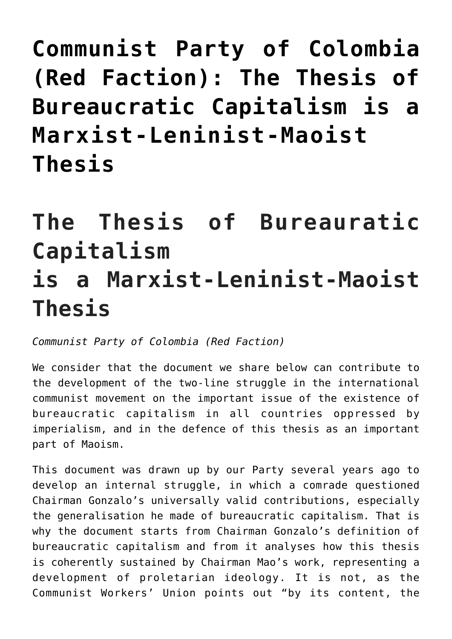**[Communist Party of Colombia](https://ci-ic.org/blog/2022/06/14/partido-comunista-de-colombia-fraccion-roja-la-tesis-del-capitalismo-burocratico-es-una-tesis-marxista-leninista-maoista/) [\(Red Faction\): The Thesis of](https://ci-ic.org/blog/2022/06/14/partido-comunista-de-colombia-fraccion-roja-la-tesis-del-capitalismo-burocratico-es-una-tesis-marxista-leninista-maoista/) [Bureaucratic Capitalism is a](https://ci-ic.org/blog/2022/06/14/partido-comunista-de-colombia-fraccion-roja-la-tesis-del-capitalismo-burocratico-es-una-tesis-marxista-leninista-maoista/) [Marxist-Leninist-Maoist](https://ci-ic.org/blog/2022/06/14/partido-comunista-de-colombia-fraccion-roja-la-tesis-del-capitalismo-burocratico-es-una-tesis-marxista-leninista-maoista/) [Thesis](https://ci-ic.org/blog/2022/06/14/partido-comunista-de-colombia-fraccion-roja-la-tesis-del-capitalismo-burocratico-es-una-tesis-marxista-leninista-maoista/)**

## **The Thesis of Bureauratic Capitalism is a Marxist-Leninist-Maoist Thesis**

*Communist Party of Colombia (Red Faction)*

We consider that the document we share below can contribute to the development of the two-line struggle in the international communist movement on the important issue of the existence of bureaucratic capitalism in all countries oppressed by imperialism, and in the defence of this thesis as an important part of Maoism.

This document was drawn up by our Party several years ago to develop an internal struggle, in which a comrade questioned Chairman Gonzalo's universally valid contributions, especially the generalisation he made of bureaucratic capitalism. That is why the document starts from Chairman Gonzalo's definition of bureaucratic capitalism and from it analyses how this thesis is coherently sustained by Chairman Mao's work, representing a development of proletarian ideology. It is not, as the Communist Workers' Union points out "by its content, the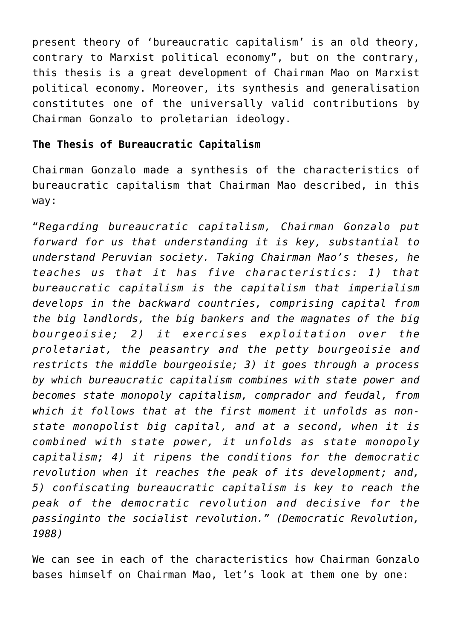present theory of 'bureaucratic capitalism' is an old theory, contrary to Marxist political economy", but on the contrary, this thesis is a great development of Chairman Mao on Marxist political economy. Moreover, its synthesis and generalisation constitutes one of the universally valid contributions by Chairman Gonzalo to proletarian ideology.

## **The Thesis of Bureaucratic Capitalism**

Chairman Gonzalo made a synthesis of the characteristics of bureaucratic capitalism that Chairman Mao described, in this way:

"*Regarding bureaucratic capitalism, Chairman Gonzalo put forward for us that understanding it is key, substantial to understand Peruvian society. Taking Chairman Mao's theses, he teaches us that it has five characteristics: 1) that bureaucratic capitalism is the capitalism that imperialism develops in the backward countries, comprising capital from the big landlords, the big bankers and the magnates of the big bourgeoisie; 2) it exercises exploitation over the proletariat, the peasantry and the petty bourgeoisie and restricts the middle bourgeoisie; 3) it goes through a process by which bureaucratic capitalism combines with state power and becomes state monopoly capitalism, comprador and feudal, from which it follows that at the first moment it unfolds as nonstate monopolist big capital, and at a second, when it is combined with state power, it unfolds as state monopoly capitalism; 4) it ripens the conditions for the democratic revolution when it reaches the peak of its development; and, 5) confiscating bureaucratic capitalism is key to reach the peak of the democratic revolution and decisive for the passinginto the socialist revolution." (Democratic Revolution, 1988)*

We can see in each of the characteristics how Chairman Gonzalo bases himself on Chairman Mao, let's look at them one by one: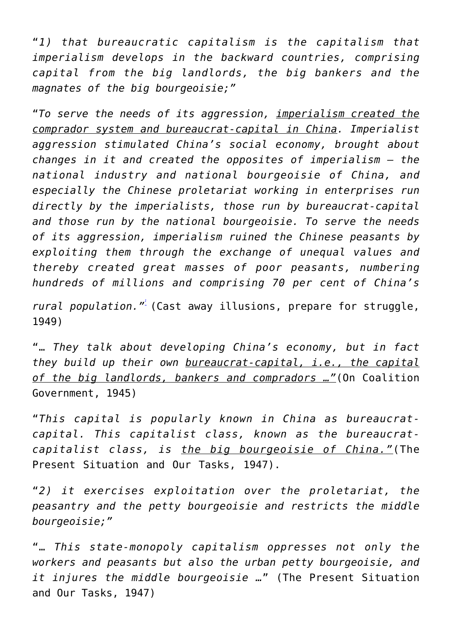"*1) that bureaucratic capitalism is the capitalism that imperialism develops in the backward countries, comprising capital from the big landlords, the big bankers and the magnates of the big bourgeoisie;"*

"*To serve the needs of its aggression, imperialism created the comprador system and bureaucrat-capital in China. Imperialist aggression stimulated China's social economy, brought about changes in it and created the opposites of imperialism — the national industry and national bourgeoisie of China, and especially the Chinese proletariat working in enterprises run directly by the imperialists, those run by bureaucrat-capital and those run by the national bourgeoisie. To serve the needs of its aggression, imperialism ruined the Chinese peasants by exploiting them through the exchange of unequal values and thereby created great masses of poor peasants, numbering hundreds of millions and comprising 70 per cent of China's*

*rural population."[1](#page--1-0)* (Cast away illusions, prepare for struggle, 1949)

"… *They talk about developing China's economy, but in fact they build up their own bureaucrat-capital, i.e., the capital of the big landlords, bankers and compradors …"*(On Coalition Government, 1945)

"*This capital is popularly known in China as bureaucratcapital. This capitalist class, known as the bureaucratcapitalist class, is the big bourgeoisie of China."*(The Present Situation and Our Tasks, 1947).

"*2) it exercises exploitation over the proletariat, the peasantry and the petty bourgeoisie and restricts the middle bourgeoisie;"*

"… *This state-monopoly capitalism oppresses not only the workers and peasants but also the urban petty bourgeoisie, and it injures the middle bourgeoisie …*" (The Present Situation and Our Tasks, 1947)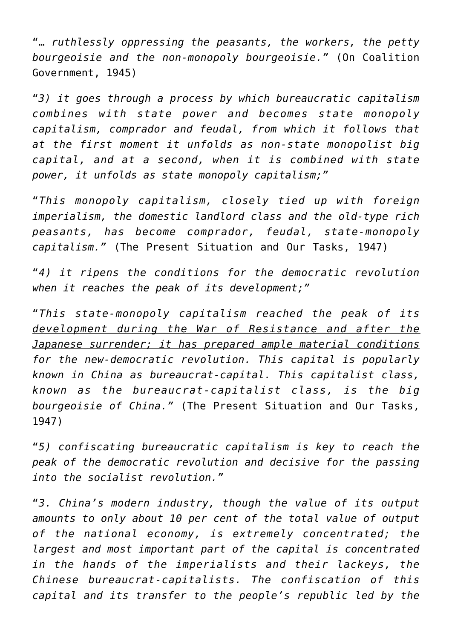"… *ruthlessly oppressing the peasants, the workers, the petty bourgeoisie and the non-monopoly bourgeoisie."* (On Coalition Government, 1945)

"*3) it goes through a process by which bureaucratic capitalism combines with state power and becomes state monopoly capitalism, comprador and feudal, from which it follows that at the first moment it unfolds as non-state monopolist big capital, and at a second, when it is combined with state power, it unfolds as state monopoly capitalism;"*

"*This monopoly capitalism, closely tied up with foreign imperialism, the domestic landlord class and the old-type rich peasants, has become comprador, feudal, state-monopoly capitalism."* (The Present Situation and Our Tasks, 1947)

"*4) it ripens the conditions for the democratic revolution when it reaches the peak of its development;"*

"*This state-monopoly capitalism reached the peak of its development during the War of Resistance and after the Japanese surrender; it has prepared ample material conditions for the new-democratic revolution. This capital is popularly known in China as bureaucrat-capital. This capitalist class, known as the bureaucrat-capitalist class, is the big bourgeoisie of China."* (The Present Situation and Our Tasks, 1947)

"*5) confiscating bureaucratic capitalism is key to reach the peak of the democratic revolution and decisive for the passing into the socialist revolution."*

"*3. China's modern industry, though the value of its output amounts to only about 10 per cent of the total value of output of the national economy, is extremely concentrated; the largest and most important part of the capital is concentrated in the hands of the imperialists and their lackeys, the Chinese bureaucrat-capitalists. The confiscation of this capital and its transfer to the people's republic led by the*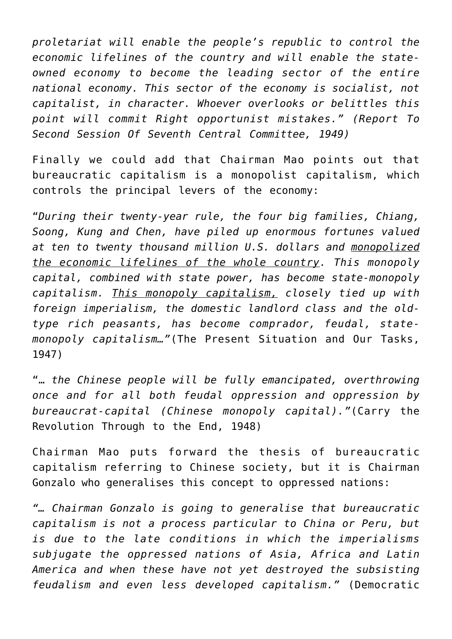*proletariat will enable the people's republic to control the economic lifelines of the country and will enable the stateowned economy to become the leading sector of the entire national economy. This sector of the economy is socialist, not capitalist, in character. Whoever overlooks or belittles this point will commit Right opportunist mistakes." (Report To Second Session Of Seventh Central Committee, 1949)*

Finally we could add that Chairman Mao points out that bureaucratic capitalism is a monopolist capitalism, which controls the principal levers of the economy:

"*During their twenty-year rule, the four big families, Chiang, Soong, Kung and Chen, have piled up enormous fortunes valued at ten to twenty thousand million U.S. dollars and monopolized the economic lifelines of the whole country. This monopoly capital, combined with state power, has become state-monopoly capitalism. This monopoly capitalism, closely tied up with foreign imperialism, the domestic landlord class and the oldtype rich peasants, has become comprador, feudal, statemonopoly capitalism…"*(The Present Situation and Our Tasks, 1947)

"… *the Chinese people will be fully emancipated, overthrowing once and for all both feudal oppression and oppression by bureaucrat-capital (Chinese monopoly capital)."*(Carry the Revolution Through to the End, 1948)

Chairman Mao puts forward the thesis of bureaucratic capitalism referring to Chinese society, but it is Chairman Gonzalo who generalises this concept to oppressed nations:

*"… Chairman Gonzalo is going to generalise that bureaucratic capitalism is not a process particular to China or Peru, but is due to the late conditions in which the imperialisms subjugate the oppressed nations of Asia, Africa and Latin America and when these have not yet destroyed the subsisting feudalism and even less developed capitalism."* (Democratic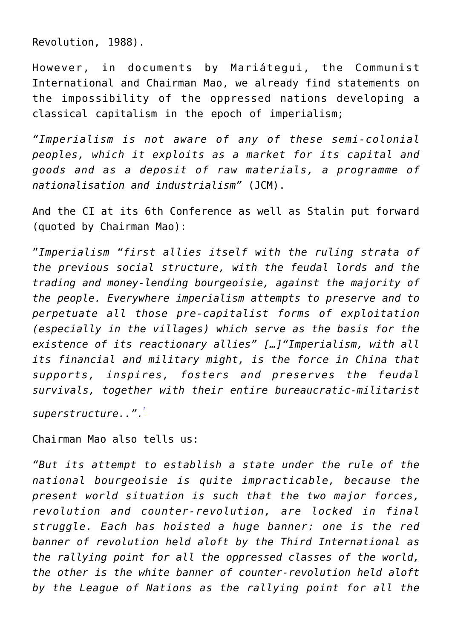Revolution, 1988).

However, in documents by Mariátegui, the Communist International and Chairman Mao, we already find statements on the impossibility of the oppressed nations developing a classical capitalism in the epoch of imperialism;

*"Imperialism is not aware of any of these semi-colonial peoples, which it exploits as a market for its capital and goods and as a deposit of raw materials, a programme of nationalisation and industrialism"* (JCM).

And the CI at its 6th Conference as well as Stalin put forward (quoted by Chairman Mao):

"*Imperialism "first allies itself with the ruling strata of the previous social structure, with the feudal lords and the trading and money-lending bourgeoisie, against the majority of the people. Everywhere imperialism attempts to preserve and to perpetuate all those pre-capitalist forms of exploitation (especially in the villages) which serve as the basis for the existence of its reactionary allies" […]"Imperialism, with all its financial and military might, is the force in China that supports, inspires, fosters and preserves the feudal survivals, together with their entire bureaucratic-militarist*

*superstructure..". [2](#page--1-0)*

Chairman Mao also tells us:

*"But its attempt to establish a state under the rule of the national bourgeoisie is quite impracticable, because the present world situation is such that the two major forces, revolution and counter-revolution, are locked in final struggle. Each has hoisted a huge banner: one is the red banner of revolution held aloft by the Third International as the rallying point for all the oppressed classes of the world, the other is the white banner of counter-revolution held aloft by the League of Nations as the rallying point for all the*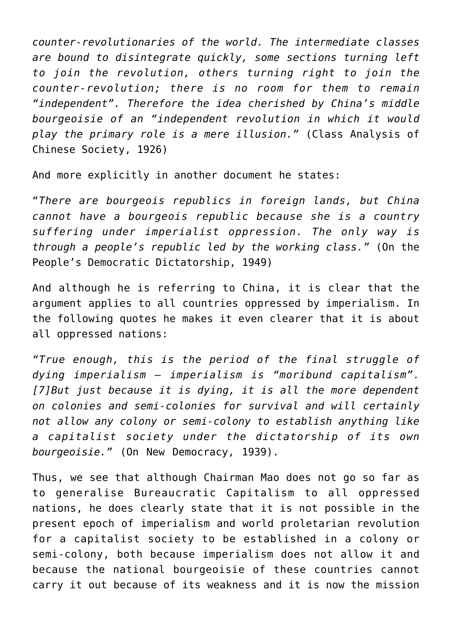*counter-revolutionaries of the world. The intermediate classes are bound to disintegrate quickly, some sections turning left to join the revolution, others turning right to join the counter-revolution; there is no room for them to remain "independent". Therefore the idea cherished by China's middle bourgeoisie of an "independent revolution in which it would play the primary role is a mere illusion."* (Class Analysis of Chinese Society, 1926)

And more explicitly in another document he states:

"*There are bourgeois republics in foreign lands, but China cannot have a bourgeois republic because she is a country suffering under imperialist oppression. The only way is through a people's republic led by the working class."* (On the People's Democratic Dictatorship, 1949)

And although he is referring to China, it is clear that the argument applies to all countries oppressed by imperialism. In the following quotes he makes it even clearer that it is about all oppressed nations:

*"True enough, this is the period of the final struggle of dying imperialism — imperialism is "moribund capitalism". [7]But just because it is dying, it is all the more dependent on colonies and semi-colonies for survival and will certainly not allow any colony or semi-colony to establish anything like a capitalist society under the dictatorship of its own bourgeoisie."* (On New Democracy, 1939).

Thus, we see that although Chairman Mao does not go so far as to generalise Bureaucratic Capitalism to all oppressed nations, he does clearly state that it is not possible in the present epoch of imperialism and world proletarian revolution for a capitalist society to be established in a colony or semi-colony, both because imperialism does not allow it and because the national bourgeoisie of these countries cannot carry it out because of its weakness and it is now the mission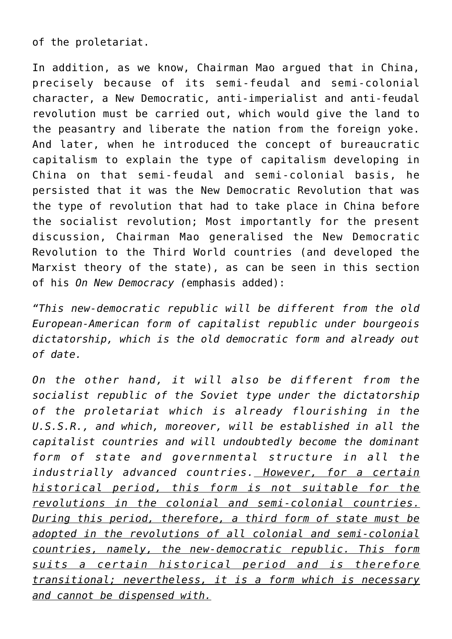of the proletariat.

In addition, as we know, Chairman Mao argued that in China, precisely because of its semi-feudal and semi-colonial character, a New Democratic, anti-imperialist and anti-feudal revolution must be carried out, which would give the land to the peasantry and liberate the nation from the foreign yoke. And later, when he introduced the concept of bureaucratic capitalism to explain the type of capitalism developing in China on that semi-feudal and semi-colonial basis, he persisted that it was the New Democratic Revolution that was the type of revolution that had to take place in China before the socialist revolution; Most importantly for the present discussion, Chairman Mao generalised the New Democratic Revolution to the Third World countries (and developed the Marxist theory of the state), as can be seen in this section of his *On New Democracy (*emphasis added):

*"This new-democratic republic will be different from the old European-American form of capitalist republic under bourgeois dictatorship, which is the old democratic form and already out of date.*

*On the other hand, it will also be different from the socialist republic of the Soviet type under the dictatorship of the proletariat which is already flourishing in the U.S.S.R., and which, moreover, will be established in all the capitalist countries and will undoubtedly become the dominant form of state and governmental structure in all the industrially advanced countries. However, for a certain historical period, this form is not suitable for the revolutions in the colonial and semi-colonial countries. During this period, therefore, a third form of state must be adopted in the revolutions of all colonial and semi-colonial countries, namely, the new-democratic republic. This form suits a certain historical period and is therefore transitional; nevertheless, it is a form which is necessary and cannot be dispensed with.*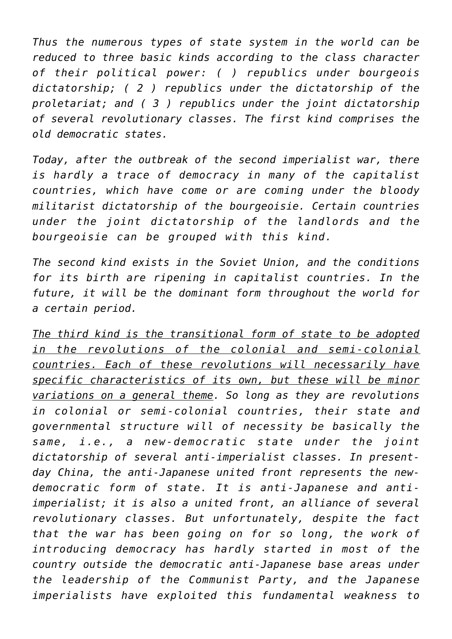*Thus the numerous types of state system in the world can be reduced to three basic kinds according to the class character of their political power: ( ) republics under bourgeois dictatorship; ( 2 ) republics under the dictatorship of the proletariat; and ( 3 ) republics under the joint dictatorship of several revolutionary classes. The first kind comprises the old democratic states.*

*Today, after the outbreak of the second imperialist war, there is hardly a trace of democracy in many of the capitalist countries, which have come or are coming under the bloody militarist dictatorship of the bourgeoisie. Certain countries under the joint dictatorship of the landlords and the bourgeoisie can be grouped with this kind.*

*The second kind exists in the Soviet Union, and the conditions for its birth are ripening in capitalist countries. In the future, it will be the dominant form throughout the world for a certain period.*

*The third kind is the transitional form of state to be adopted in the revolutions of the colonial and semi-colonial countries. Each of these revolutions will necessarily have specific characteristics of its own, but these will be minor variations on a general theme. So long as they are revolutions in colonial or semi-colonial countries, their state and governmental structure will of necessity be basically the same, i.e., a new-democratic state under the joint dictatorship of several anti-imperialist classes. In presentday China, the anti-Japanese united front represents the newdemocratic form of state. It is anti-Japanese and antiimperialist; it is also a united front, an alliance of several revolutionary classes. But unfortunately, despite the fact that the war has been going on for so long, the work of introducing democracy has hardly started in most of the country outside the democratic anti-Japanese base areas under the leadership of the Communist Party, and the Japanese imperialists have exploited this fundamental weakness to*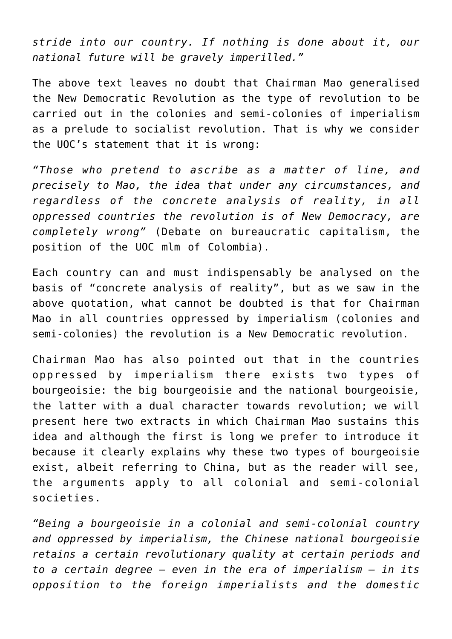*stride into our country. If nothing is done about it, our national future will be gravely imperilled."*

The above text leaves no doubt that Chairman Mao generalised the New Democratic Revolution as the type of revolution to be carried out in the colonies and semi-colonies of imperialism as a prelude to socialist revolution. That is why we consider the UOC's statement that it is wrong:

*"Those who pretend to ascribe as a matter of line, and precisely to Mao, the idea that under any circumstances, and regardless of the concrete analysis of reality, in all oppressed countries the revolution is of New Democracy, are completely wrong"* (Debate on bureaucratic capitalism, the position of the UOC mlm of Colombia).

Each country can and must indispensably be analysed on the basis of "concrete analysis of reality", but as we saw in the above quotation, what cannot be doubted is that for Chairman Mao in all countries oppressed by imperialism (colonies and semi-colonies) the revolution is a New Democratic revolution.

Chairman Mao has also pointed out that in the countries oppressed by imperialism there exists two types of bourgeoisie: the big bourgeoisie and the national bourgeoisie, the latter with a dual character towards revolution; we will present here two extracts in which Chairman Mao sustains this idea and although the first is long we prefer to introduce it because it clearly explains why these two types of bourgeoisie exist, albeit referring to China, but as the reader will see, the arguments apply to all colonial and semi-colonial societies.

*"Being a bourgeoisie in a colonial and semi-colonial country and oppressed by imperialism, the Chinese national bourgeoisie retains a certain revolutionary quality at certain periods and to a certain degree — even in the era of imperialism — in its opposition to the foreign imperialists and the domestic*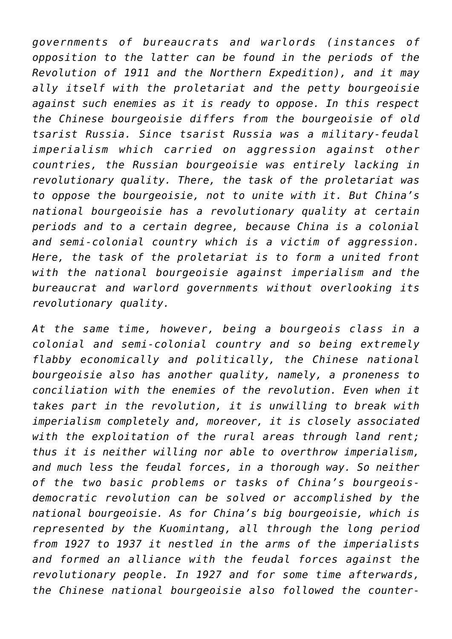*governments of bureaucrats and warlords (instances of opposition to the latter can be found in the periods of the Revolution of 1911 and the Northern Expedition), and it may ally itself with the proletariat and the petty bourgeoisie against such enemies as it is ready to oppose. In this respect the Chinese bourgeoisie differs from the bourgeoisie of old tsarist Russia. Since tsarist Russia was a military-feudal imperialism which carried on aggression against other countries, the Russian bourgeoisie was entirely lacking in revolutionary quality. There, the task of the proletariat was to oppose the bourgeoisie, not to unite with it. But China's national bourgeoisie has a revolutionary quality at certain periods and to a certain degree, because China is a colonial and semi-colonial country which is a victim of aggression. Here, the task of the proletariat is to form a united front with the national bourgeoisie against imperialism and the bureaucrat and warlord governments without overlooking its revolutionary quality.*

*At the same time, however, being a bourgeois class in a colonial and semi-colonial country and so being extremely flabby economically and politically, the Chinese national bourgeoisie also has another quality, namely, a proneness to conciliation with the enemies of the revolution. Even when it takes part in the revolution, it is unwilling to break with imperialism completely and, moreover, it is closely associated with the exploitation of the rural areas through land rent; thus it is neither willing nor able to overthrow imperialism, and much less the feudal forces, in a thorough way. So neither of the two basic problems or tasks of China's bourgeoisdemocratic revolution can be solved or accomplished by the national bourgeoisie. As for China's big bourgeoisie, which is represented by the Kuomintang, all through the long period from 1927 to 1937 it nestled in the arms of the imperialists and formed an alliance with the feudal forces against the revolutionary people. In 1927 and for some time afterwards, the Chinese national bourgeoisie also followed the counter-*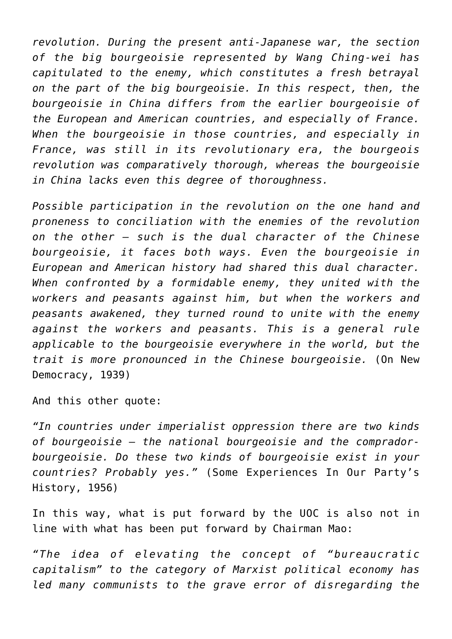*revolution. During the present anti-Japanese war, the section of the big bourgeoisie represented by Wang Ching-wei has capitulated to the enemy, which constitutes a fresh betrayal on the part of the big bourgeoisie. In this respect, then, the bourgeoisie in China differs from the earlier bourgeoisie of the European and American countries, and especially of France. When the bourgeoisie in those countries, and especially in France, was still in its revolutionary era, the bourgeois revolution was comparatively thorough, whereas the bourgeoisie in China lacks even this degree of thoroughness.*

*Possible participation in the revolution on the one hand and proneness to conciliation with the enemies of the revolution on the other – such is the dual character of the Chinese bourgeoisie, it faces both ways. Even the bourgeoisie in European and American history had shared this dual character. When confronted by a formidable enemy, they united with the workers and peasants against him, but when the workers and peasants awakened, they turned round to unite with the enemy against the workers and peasants. This is a general rule applicable to the bourgeoisie everywhere in the world, but the trait is more pronounced in the Chinese bourgeoisie.* (On New Democracy, 1939)

And this other quote:

*"In countries under imperialist oppression there are two kinds of bourgeoisie — the national bourgeoisie and the compradorbourgeoisie. Do these two kinds of bourgeoisie exist in your countries? Probably yes."* (Some Experiences In Our Party's History, 1956)

In this way, what is put forward by the UOC is also not in line with what has been put forward by Chairman Mao:

*"The idea of elevating the concept of "bureaucratic capitalism" to the category of Marxist political economy has led many communists to the grave error of disregarding the*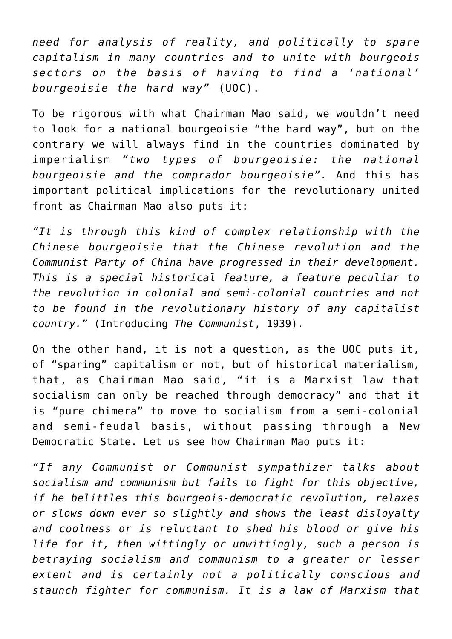*need for analysis of reality, and politically to spare capitalism in many countries and to unite with bourgeois sectors on the basis of having to find a 'national' bourgeoisie the hard way"* (UOC).

To be rigorous with what Chairman Mao said, we wouldn't need to look for a national bourgeoisie "the hard way", but on the contrary we will always find in the countries dominated by imperialism *"two types of bourgeoisie: the national bourgeoisie and the comprador bourgeoisie".* And this has important political implications for the revolutionary united front as Chairman Mao also puts it:

*"It is through this kind of complex relationship with the Chinese bourgeoisie that the Chinese revolution and the Communist Party of China have progressed in their development. This is a special historical feature, a feature peculiar to the revolution in colonial and semi-colonial countries and not to be found in the revolutionary history of any capitalist country."* (Introducing *The Communist*, 1939).

On the other hand, it is not a question, as the UOC puts it, of "sparing" capitalism or not, but of historical materialism, that, as Chairman Mao said, "it is a Marxist law that socialism can only be reached through democracy" and that it is "pure chimera" to move to socialism from a semi-colonial and semi-feudal basis, without passing through a New Democratic State. Let us see how Chairman Mao puts it:

*"If any Communist or Communist sympathizer talks about socialism and communism but fails to fight for this objective, if he belittles this bourgeois-democratic revolution, relaxes or slows down ever so slightly and shows the least disloyalty and coolness or is reluctant to shed his blood or give his life for it, then wittingly or unwittingly, such a person is betraying socialism and communism to a greater or lesser extent and is certainly not a politically conscious and staunch fighter for communism. It is a law of Marxism that*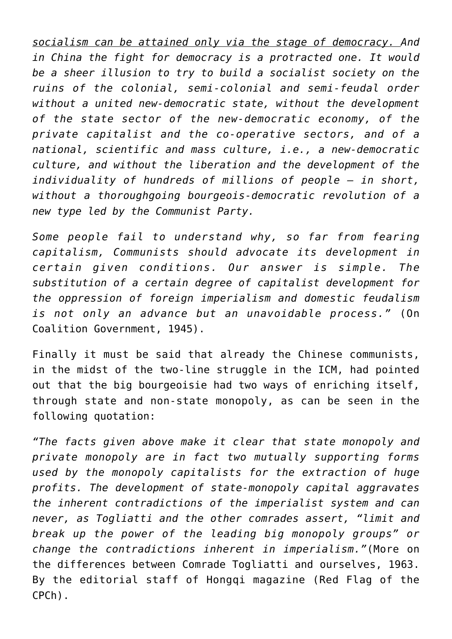*socialism can be attained only via the stage of democracy. And in China the fight for democracy is a protracted one. It would be a sheer illusion to try to build a socialist society on the ruins of the colonial, semi-colonial and semi-feudal order without a united new-democratic state, without the development of the state sector of the new-democratic economy, of the private capitalist and the co-operative sectors, and of a national, scientific and mass culture, i.e., a new-democratic culture, and without the liberation and the development of the individuality of hundreds of millions of people — in short, without a thoroughgoing bourgeois-democratic revolution of a new type led by the Communist Party.*

*Some people fail to understand why, so far from fearing capitalism, Communists should advocate its development in certain given conditions. Our answer is simple. The substitution of a certain degree of capitalist development for the oppression of foreign imperialism and domestic feudalism is not only an advance but an unavoidable process."* (On Coalition Government, 1945).

Finally it must be said that already the Chinese communists, in the midst of the two-line struggle in the ICM, had pointed out that the big bourgeoisie had two ways of enriching itself, through state and non-state monopoly, as can be seen in the following quotation:

*"The facts given above make it clear that state monopoly and private monopoly are in fact two mutually supporting forms used by the monopoly capitalists for the extraction of huge profits. The development of state-monopoly capital aggravates the inherent contradictions of the imperialist system and can never, as Togliatti and the other comrades assert, "limit and break up the power of the leading big monopoly groups" or change the contradictions inherent in imperialism."*(More on the differences between Comrade Togliatti and ourselves, 1963. By the editorial staff of Hongqi magazine (Red Flag of the CPCh).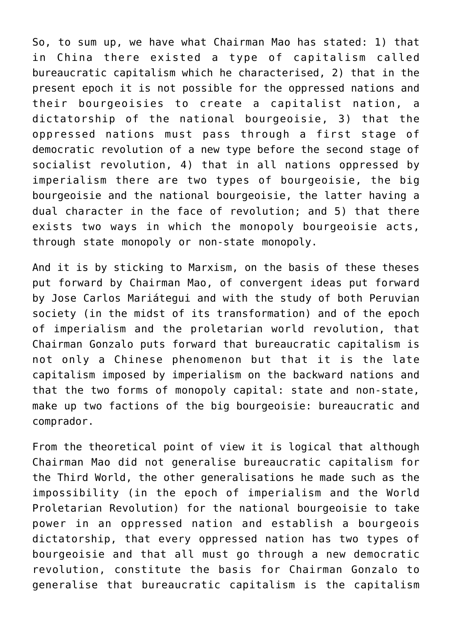So, to sum up, we have what Chairman Mao has stated: 1) that in China there existed a type of capitalism called bureaucratic capitalism which he characterised, 2) that in the present epoch it is not possible for the oppressed nations and their bourgeoisies to create a capitalist nation, a dictatorship of the national bourgeoisie, 3) that the oppressed nations must pass through a first stage of democratic revolution of a new type before the second stage of socialist revolution, 4) that in all nations oppressed by imperialism there are two types of bourgeoisie, the big bourgeoisie and the national bourgeoisie, the latter having a dual character in the face of revolution; and 5) that there exists two ways in which the monopoly bourgeoisie acts, through state monopoly or non-state monopoly.

And it is by sticking to Marxism, on the basis of these theses put forward by Chairman Mao, of convergent ideas put forward by Jose Carlos Mariátegui and with the study of both Peruvian society (in the midst of its transformation) and of the epoch of imperialism and the proletarian world revolution, that Chairman Gonzalo puts forward that bureaucratic capitalism is not only a Chinese phenomenon but that it is the late capitalism imposed by imperialism on the backward nations and that the two forms of monopoly capital: state and non-state, make up two factions of the big bourgeoisie: bureaucratic and comprador.

From the theoretical point of view it is logical that although Chairman Mao did not generalise bureaucratic capitalism for the Third World, the other generalisations he made such as the impossibility (in the epoch of imperialism and the World Proletarian Revolution) for the national bourgeoisie to take power in an oppressed nation and establish a bourgeois dictatorship, that every oppressed nation has two types of bourgeoisie and that all must go through a new democratic revolution, constitute the basis for Chairman Gonzalo to generalise that bureaucratic capitalism is the capitalism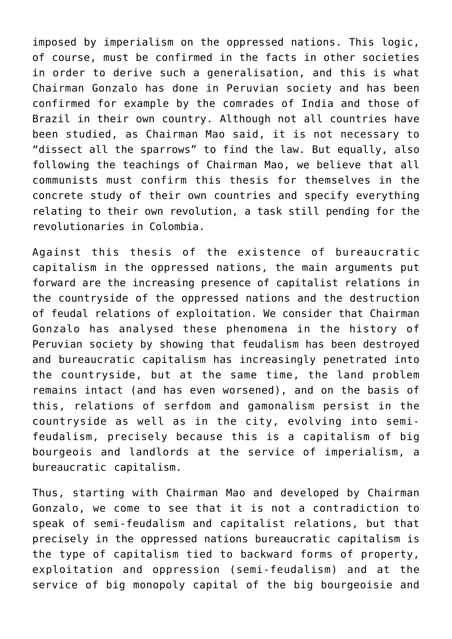imposed by imperialism on the oppressed nations. This logic, of course, must be confirmed in the facts in other societies in order to derive such a generalisation, and this is what Chairman Gonzalo has done in Peruvian society and has been confirmed for example by the comrades of India and those of Brazil in their own country. Although not all countries have been studied, as Chairman Mao said, it is not necessary to "dissect all the sparrows" to find the law. But equally, also following the teachings of Chairman Mao, we believe that all communists must confirm this thesis for themselves in the concrete study of their own countries and specify everything relating to their own revolution, a task still pending for the revolutionaries in Colombia.

Against this thesis of the existence of bureaucratic capitalism in the oppressed nations, the main arguments put forward are the increasing presence of capitalist relations in the countryside of the oppressed nations and the destruction of feudal relations of exploitation. We consider that Chairman Gonzalo has analysed these phenomena in the history of Peruvian society by showing that feudalism has been destroyed and bureaucratic capitalism has increasingly penetrated into the countryside, but at the same time, the land problem remains intact (and has even worsened), and on the basis of this, relations of serfdom and gamonalism persist in the countryside as well as in the city, evolving into semifeudalism, precisely because this is a capitalism of big bourgeois and landlords at the service of imperialism, a bureaucratic capitalism.

Thus, starting with Chairman Mao and developed by Chairman Gonzalo, we come to see that it is not a contradiction to speak of semi-feudalism and capitalist relations, but that precisely in the oppressed nations bureaucratic capitalism is the type of capitalism tied to backward forms of property, exploitation and oppression (semi-feudalism) and at the service of big monopoly capital of the big bourgeoisie and